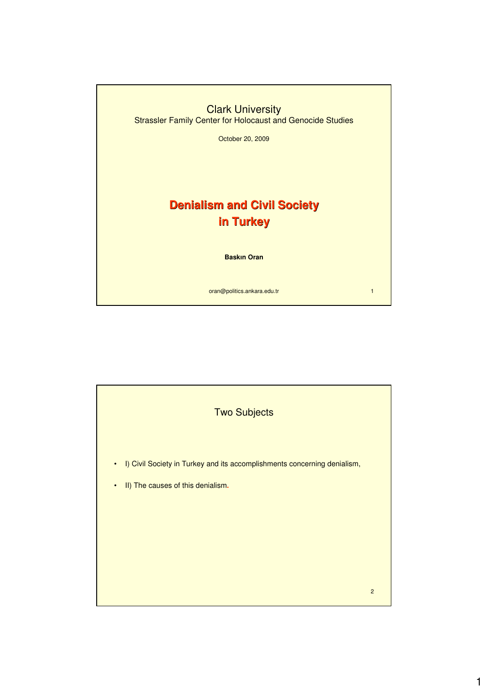

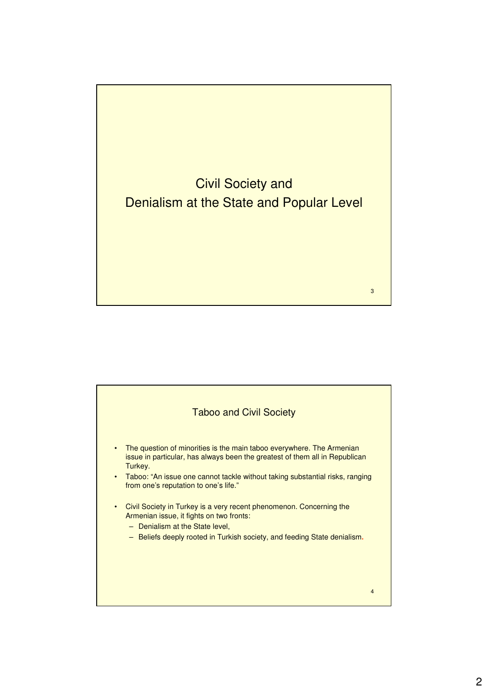

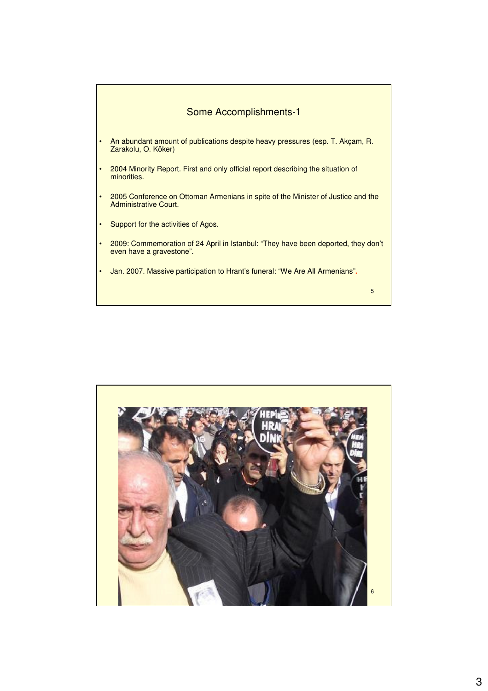

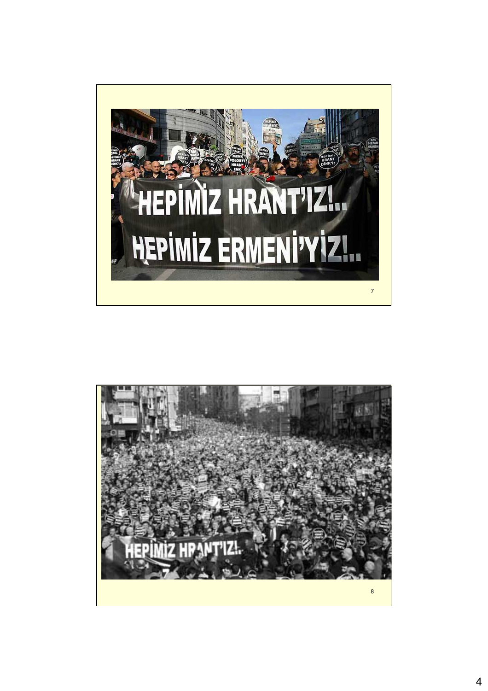

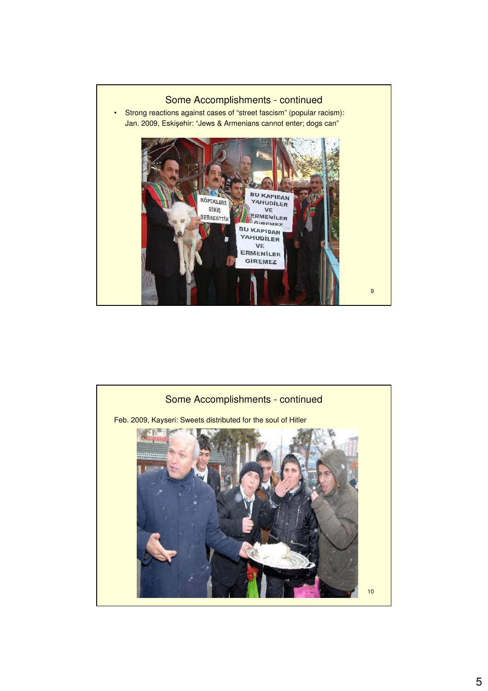

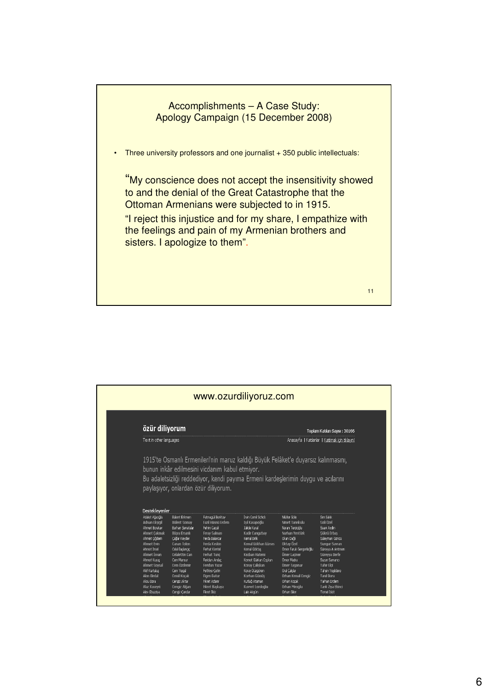

|                                                                                                                                                                                                                                                  | özür diliyorum                                                                                                                                                                                                                               |                                                                                                                                                                                                                                               |                                                                                                                                                                                                                                           |                                                                                                                                                                                                                                                | Toplam Katılan Sayısı: 30166                                                                                                                                                                                      |  |  |  |
|--------------------------------------------------------------------------------------------------------------------------------------------------------------------------------------------------------------------------------------------------|----------------------------------------------------------------------------------------------------------------------------------------------------------------------------------------------------------------------------------------------|-----------------------------------------------------------------------------------------------------------------------------------------------------------------------------------------------------------------------------------------------|-------------------------------------------------------------------------------------------------------------------------------------------------------------------------------------------------------------------------------------------|------------------------------------------------------------------------------------------------------------------------------------------------------------------------------------------------------------------------------------------------|-------------------------------------------------------------------------------------------------------------------------------------------------------------------------------------------------------------------|--|--|--|
| Text in other languages                                                                                                                                                                                                                          |                                                                                                                                                                                                                                              |                                                                                                                                                                                                                                               | Anasayfa   Katılanlar   Katılmak için tıklayın!                                                                                                                                                                                           |                                                                                                                                                                                                                                                |                                                                                                                                                                                                                   |  |  |  |
|                                                                                                                                                                                                                                                  |                                                                                                                                                                                                                                              | paylaşıyor, onlardan özür diliyorum.                                                                                                                                                                                                          | Bu adaletsizliği reddediyor, kendi payıma Ermeni kardeşlerimin duygu ve acılarını                                                                                                                                                         |                                                                                                                                                                                                                                                |                                                                                                                                                                                                                   |  |  |  |
| Desteklevenler<br>Adalet Ağacğlu<br><b>Adnan Eksigil</b><br><b>Ahmet Boratav</b><br><b>Ahmet Cakmak</b><br>Ahmet Ciådem<br>Ahmet Evin<br>Ahmet Insel<br>Ahmet İsvan<br>Ahmet Kuyas<br><b>Ahmet Soysal</b><br>Akif Kurtulus<br><b>Akın Birdal</b> | Bülent Erkmen<br><b>Bülent Somay</b><br><b>Burhan Senatalar</b><br>Büşra Ersanlı<br>Cağlar Kevder<br>Canan Tolon<br>Celal Baslangic<br><b>Celalettin Can</b><br>Cem Mansur<br>Cem Özdemir<br>Cem Yeqül<br><b>Cemil Kocak</b><br>Cengiz Aktar | Fatmagül Berktay<br>Fazıl Hüsnü Erdem<br>Fehim Caruï<br><b>Feray Salman</b><br>Ferda Balancar<br>Ferda Keskin<br>Ferhat Kentel<br>Ferhat Tunc<br>Feridun Andac<br><b>Feridun Yazar</b><br>Fethiye Cetin<br><b>Figen Batur</b><br>Fikret Adamr | İrvin Cemil Schick<br>Isıl Kasapoğlu<br>Tüde Kural<br>Kadir Cangızbay<br>Kemal Birlik<br>Kemal Gökhan Gürses<br>Kemal Göktas<br>Kezhan Hatemi<br>Komet Gürkan Coşkun<br>Koray Calıskan<br>Koray Düzgören<br>Korhan Gümüs<br>Kutluğ Ataman | Nitifer Göle<br>Nimet Tanrıkulu<br>Nuran Terzioğlu<br>Nurhan Yentürk<br>Okan Dağlı<br><b>Oktay Özel</b><br>Ömer Faruk Gergerlioğlu<br>Ömer Laciner<br>Ömer Madra<br>Ömer Taspınar<br>Oral Calislar<br><b>Orhan Kemal Cengiz</b><br>Orhan Koçak | Sm Sakk<br>Soli Özel<br>Suavi Avdn<br>Sükrü Erbas<br>Süleyman Göncü<br>Sungur Savran<br>Süreyya A Antmen<br>Sürevya Berfe<br>Suzan Samancı<br>Tahir Elci<br>Tahsin Yeşildere<br><b>Tanıl Bora</b><br>Tarhan Erdem |  |  |  |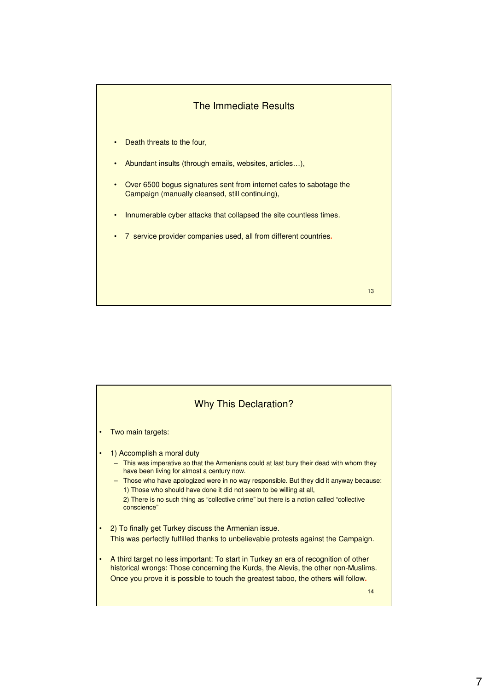

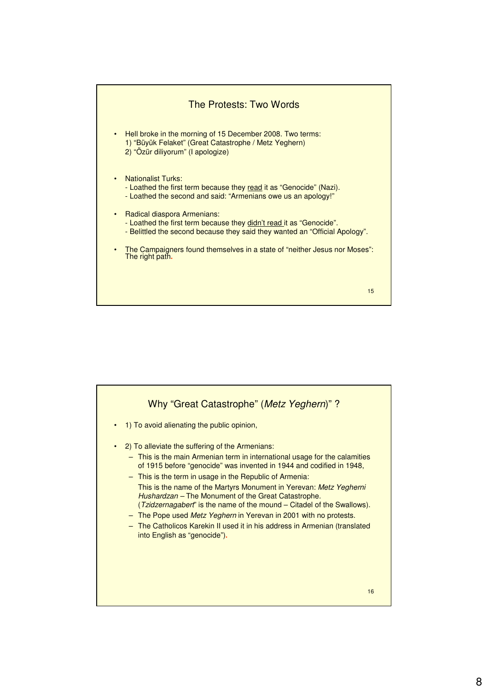

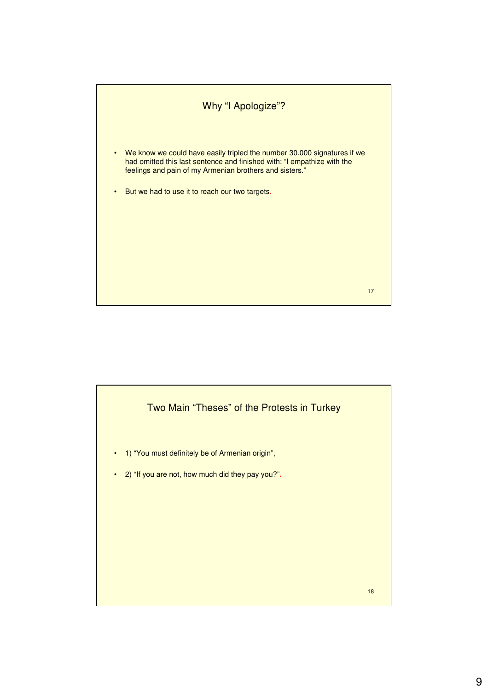

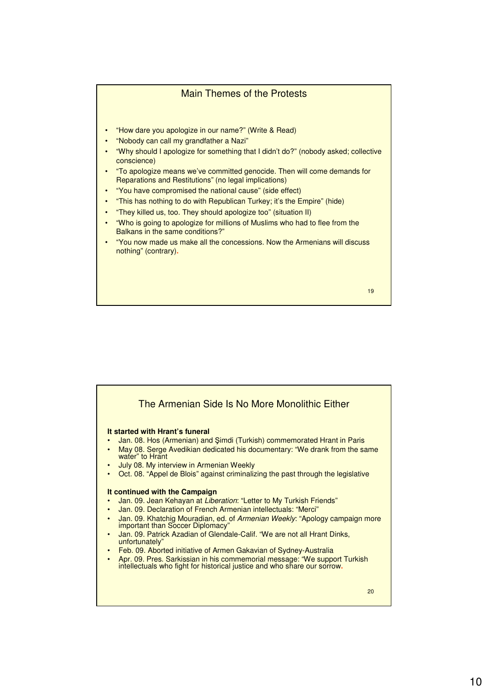## Main Themes of the Protests • "How dare you apologize in our name?" (Write & Read) • "Nobody can call my grandfather a Nazi" • "Why should I apologize for something that I didn't do?" (nobody asked; collective conscience) • "To apologize means we've committed genocide. Then will come demands for Reparations and Restitutions" (no legal implications) • "You have compromised the national cause" (side effect) • "This has nothing to do with Republican Turkey; it's the Empire" (hide) • "They killed us, too. They should apologize too" (situation II) • "Who is going to apologize for millions of Muslims who had to flee from the Balkans in the same conditions?" • "You now made us make all the concessions. Now the Armenians will discuss nothing" (contrary)**.**



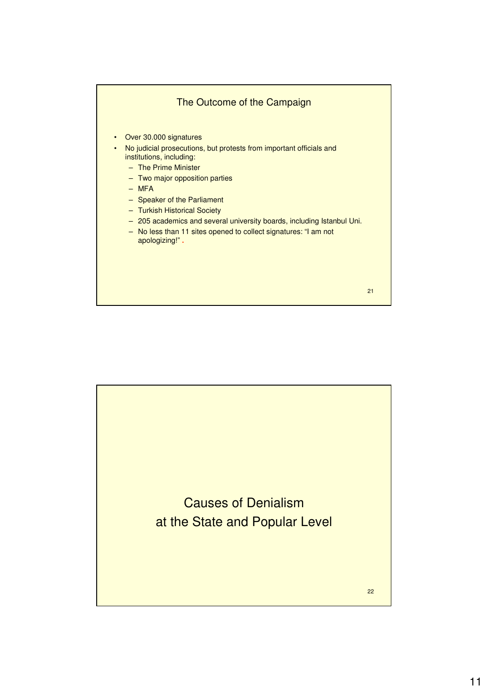

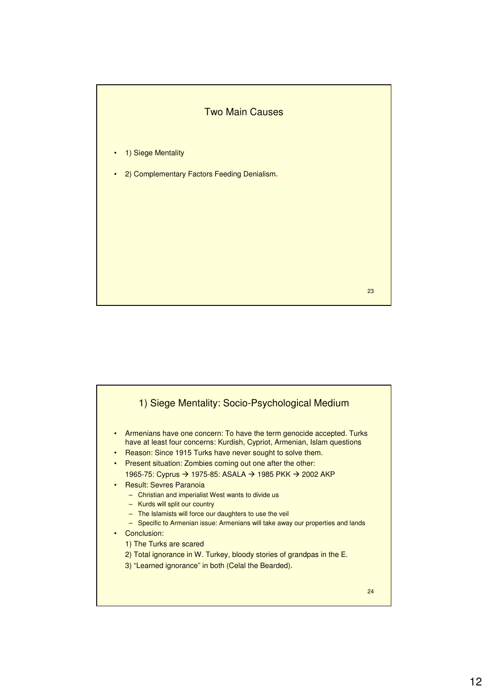